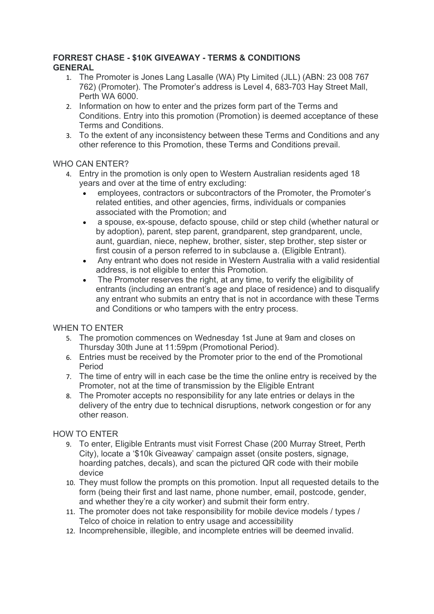## **FORREST CHASE - \$10K GIVEAWAY - TERMS & CONDITIONS GENERAL**

- 1. The Promoter is Jones Lang Lasalle (WA) Pty Limited (JLL) (ABN: 23 008 767 762) (Promoter). The Promoter's address is Level 4, 683-703 Hay Street Mall, Perth WA 6000.
- 2. Information on how to enter and the prizes form part of the Terms and Conditions. Entry into this promotion (Promotion) is deemed acceptance of these Terms and Conditions.
- 3. To the extent of any inconsistency between these Terms and Conditions and any other reference to this Promotion, these Terms and Conditions prevail.

# WHO CAN ENTER?

- 4. Entry in the promotion is only open to Western Australian residents aged 18 years and over at the time of entry excluding:
	- employees, contractors or subcontractors of the Promoter, the Promoter's related entities, and other agencies, firms, individuals or companies associated with the Promotion; and
	- a spouse, ex-spouse, defacto spouse, child or step child (whether natural or by adoption), parent, step parent, grandparent, step grandparent, uncle, aunt, guardian, niece, nephew, brother, sister, step brother, step sister or first cousin of a person referred to in subclause a. (Eligible Entrant).
	- Any entrant who does not reside in Western Australia with a valid residential address, is not eligible to enter this Promotion.
	- The Promoter reserves the right, at any time, to verify the eligibility of entrants (including an entrant's age and place of residence) and to disqualify any entrant who submits an entry that is not in accordance with these Terms and Conditions or who tampers with the entry process.

## WHEN TO ENTER

- 5. The promotion commences on Wednesday 1st June at 9am and closes on Thursday 30th June at 11:59pm (Promotional Period).
- 6. Entries must be received by the Promoter prior to the end of the Promotional Period
- 7. The time of entry will in each case be the time the online entry is received by the Promoter, not at the time of transmission by the Eligible Entrant
- 8. The Promoter accepts no responsibility for any late entries or delays in the delivery of the entry due to technical disruptions, network congestion or for any other reason.

## HOW TO ENTER

- 9. To enter, Eligible Entrants must visit Forrest Chase (200 Murray Street, Perth City), locate a '\$10k Giveaway' campaign asset (onsite posters, signage, hoarding patches, decals), and scan the pictured QR code with their mobile device
- 10. They must follow the prompts on this promotion. Input all requested details to the form (being their first and last name, phone number, email, postcode, gender, and whether they're a city worker) and submit their form entry.
- 11. The promoter does not take responsibility for mobile device models / types / Telco of choice in relation to entry usage and accessibility
- 12. Incomprehensible, illegible, and incomplete entries will be deemed invalid.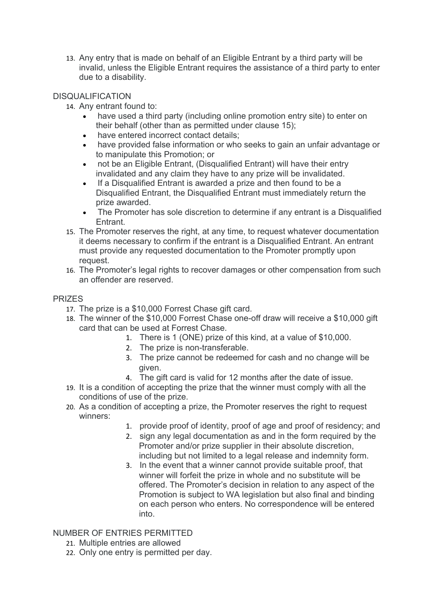13. Any entry that is made on behalf of an Eligible Entrant by a third party will be invalid, unless the Eligible Entrant requires the assistance of a third party to enter due to a disability.

## DISQUALIFICATION

- 14. Any entrant found to:
	- have used a third party (including online promotion entry site) to enter on their behalf (other than as permitted under clause 15);
	- have entered incorrect contact details;
	- have provided false information or who seeks to gain an unfair advantage or to manipulate this Promotion; or
	- not be an Eligible Entrant, (Disqualified Entrant) will have their entry invalidated and any claim they have to any prize will be invalidated.
	- If a Disqualified Entrant is awarded a prize and then found to be a Disqualified Entrant, the Disqualified Entrant must immediately return the prize awarded.
	- The Promoter has sole discretion to determine if any entrant is a Disqualified **Entrant**
- 15. The Promoter reserves the right, at any time, to request whatever documentation it deems necessary to confirm if the entrant is a Disqualified Entrant. An entrant must provide any requested documentation to the Promoter promptly upon request.
- 16. The Promoter's legal rights to recover damages or other compensation from such an offender are reserved.

## PRIZES

- 17. The prize is a \$10,000 Forrest Chase gift card.
- 18. The winner of the \$10,000 Forrest Chase one-off draw will receive a \$10,000 gift card that can be used at Forrest Chase.
	- 1. There is 1 (ONE) prize of this kind, at a value of \$10,000.
	- 2. The prize is non-transferable.
	- 3. The prize cannot be redeemed for cash and no change will be given.
	- 4. The gift card is valid for 12 months after the date of issue.
- 19. It is a condition of accepting the prize that the winner must comply with all the conditions of use of the prize.
- 20. As a condition of accepting a prize, the Promoter reserves the right to request winners:
	- 1. provide proof of identity, proof of age and proof of residency; and
	- 2. sign any legal documentation as and in the form required by the Promoter and/or prize supplier in their absolute discretion, including but not limited to a legal release and indemnity form.
	- 3. In the event that a winner cannot provide suitable proof, that winner will forfeit the prize in whole and no substitute will be offered. The Promoter's decision in relation to any aspect of the Promotion is subject to WA legislation but also final and binding on each person who enters. No correspondence will be entered into.

## NUMBER OF ENTRIES PERMITTED

- 21. Multiple entries are allowed
- 22. Only one entry is permitted per day.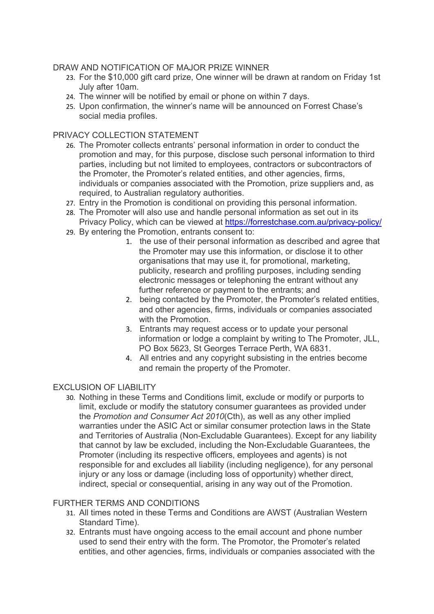### DRAW AND NOTIFICATION OF MAJOR PRIZE WINNER

- 23. For the \$10,000 gift card prize, One winner will be drawn at random on Friday 1st July after 10am.
- 24. The winner will be notified by email or phone on within 7 days.
- 25. Upon confirmation, the winner's name will be announced on Forrest Chase's social media profiles.

#### PRIVACY COLLECTION STATEMENT

- 26. The Promoter collects entrants' personal information in order to conduct the promotion and may, for this purpose, disclose such personal information to third parties, including but not limited to employees, contractors or subcontractors of the Promoter, the Promoter's related entities, and other agencies, firms, individuals or companies associated with the Promotion, prize suppliers and, as required, to Australian regulatory authorities.
- 27. Entry in the Promotion is conditional on providing this personal information.
- 28. The Promoter will also use and handle personal information as set out in its Privacy Policy, which can be viewed at https://forrestchase.com.au/privacy-policy/
- 29. By entering the Promotion, entrants consent to:
	- 1. the use of their personal information as described and agree that the Promoter may use this information, or disclose it to other organisations that may use it, for promotional, marketing, publicity, research and profiling purposes, including sending electronic messages or telephoning the entrant without any further reference or payment to the entrants; and
	- 2. being contacted by the Promoter, the Promoter's related entities, and other agencies, firms, individuals or companies associated with the Promotion.
	- 3. Entrants may request access or to update your personal information or lodge a complaint by writing to The Promoter, JLL, PO Box 5623, St Georges Terrace Perth, WA 6831.
	- 4. All entries and any copyright subsisting in the entries become and remain the property of the Promoter.

#### EXCLUSION OF LIABILITY

30. Nothing in these Terms and Conditions limit, exclude or modify or purports to limit, exclude or modify the statutory consumer guarantees as provided under the *Promotion and Consumer Act 2010*(Cth), as well as any other implied warranties under the ASIC Act or similar consumer protection laws in the State and Territories of Australia (Non-Excludable Guarantees). Except for any liability that cannot by law be excluded, including the Non-Excludable Guarantees, the Promoter (including its respective officers, employees and agents) is not responsible for and excludes all liability (including negligence), for any personal injury or any loss or damage (including loss of opportunity) whether direct, indirect, special or consequential, arising in any way out of the Promotion.

#### FURTHER TERMS AND CONDITIONS

- 31. All times noted in these Terms and Conditions are AWST (Australian Western Standard Time).
- 32. Entrants must have ongoing access to the email account and phone number used to send their entry with the form. The Promotor, the Promoter's related entities, and other agencies, firms, individuals or companies associated with the